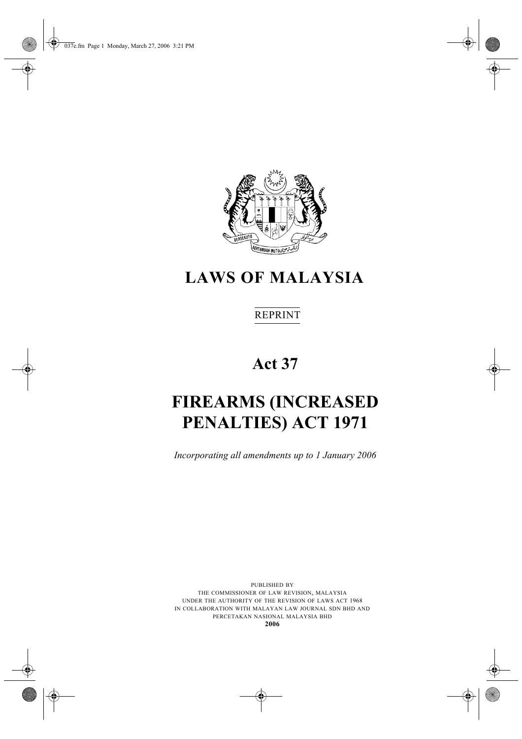037e.fm Page 1 Monday, March 27, 2006 3:21 PM



# **LAWS OF MALAYSIA**

REPRINT

**Act 37**

# **FIREARMS (INCREASED PENALTIES) ACT 1971**

*Incorporating all amendments up to 1 January 2006*

PUBLISHED BY THE COMMISSIONER OF LAW REVISION, MALAYSIA UNDER THE AUTHORITY OF THE REVISION OF LAWS ACT 1968 IN COLLABORATION WITH MALAYAN LAW JOURNAL SDN BHD AND PERCETAKAN NASIONAL MALAYSIA BHD **2006**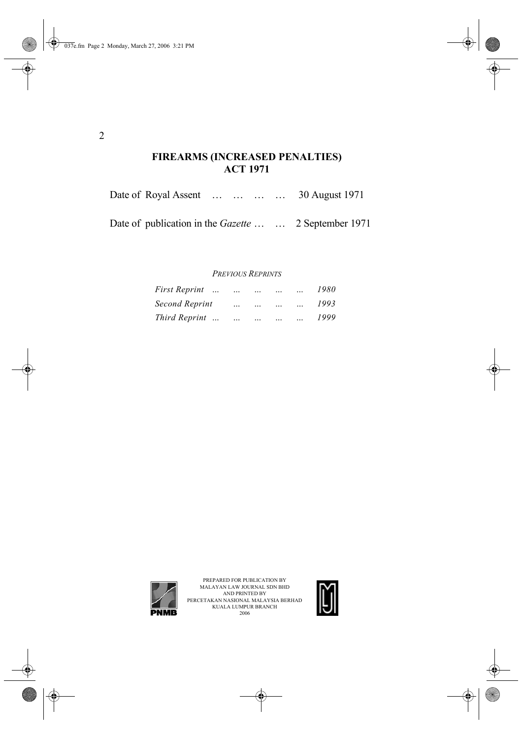037e.fm Page 2 Monday, March 27, 2006 3:21 PM♥

2

# **FIREARMS (INCREASED PENALTIES) ACT 1971**

Date of Royal Assent … … … … 30 August 1971

Date of publication in the *Gazette* ... ... 2 September 1971

#### *PREVIOUS REPRINTS*

| <i>First Reprint</i> | $\ddotsc$ | $\ddotsc$ | $\ddotsc$ | 1980 |
|----------------------|-----------|-----------|-----------|------|
| Second Reprint       | $\ddotsc$ |           |           | 1993 |
| Third Reprint        | $\ddotsc$ |           |           | 1999 |



PREPARED FOR PUBLICATION BY<br>MALAYAN LAW JOURNAL SDN BHD<br>AND PRINTED BY<br>PERCETAKAN NASIONAL MALAYSIA BERHAD<br>KUALA LUMPUR BRANCH<br>2006 2006

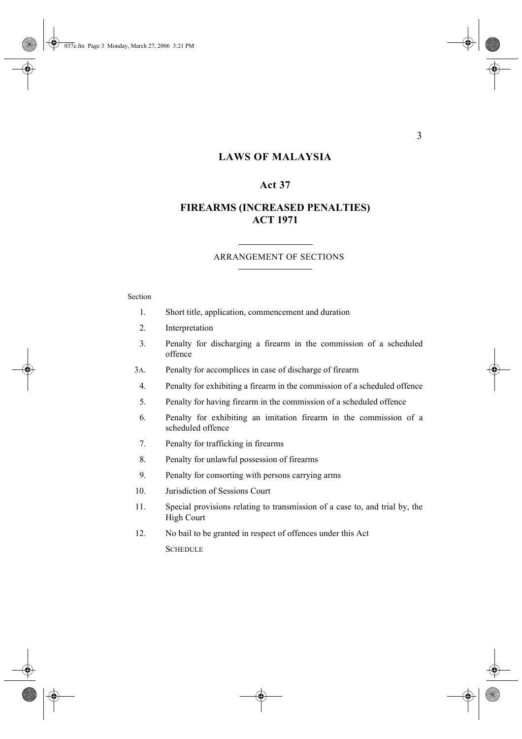# **LAWS OF MALAYSIA**

# **Act 37**

# **FIREARMS (INCREASED PENALTIES) ACT 1971**

#### ARRANGEMENT OF SECTIONS

#### Section

- 1. Short title, application, commencement and duration
- 2. Interpretation
- 3. Penalty for discharging a firearm in the commission of a scheduled offence
- 3A. Penalty for accomplices in case of discharge of firearm
- 4. Penalty for exhibiting a firearm in the commission of a scheduled offence
- 5. Penalty for having firearm in the commission of a scheduled offence
- 6. Penalty for exhibiting an imitation firearm in the commission of a scheduled offence
- 7. Penalty for trafficking in firearms
- 8. Penalty for unlawful possession of firearms
- 9. Penalty for consorting with persons carrying arms
- 10. Jurisdiction of Sessions Court
- 11. Special provisions relating to transmission of a case to, and trial by, the High Court
- 12. No bail to be granted in respect of offences under this Act **SCHEDULE**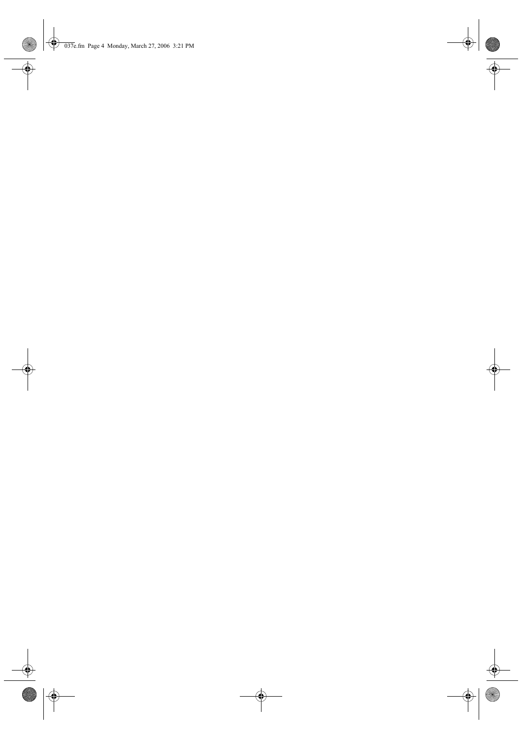037e.fm Page 4 Monday, March 27, 2006 3:21 PM

 $\bigoplus$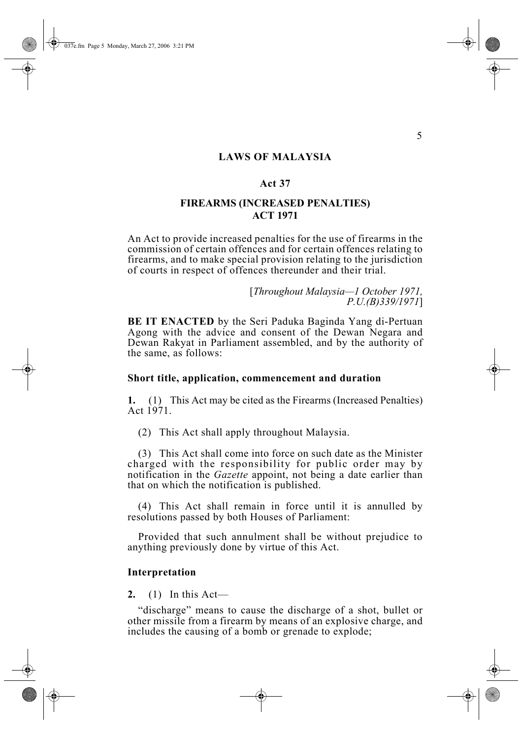037e.fm Page 5 Monday, March 27, 2006 3:21 PM

#### **LAWS OF MALAYSIA**

#### **Act 37**

# **FIREARMS (INCREASED PENALTIES) ACT 1971**

An Act to provide increased penalties for the use of firearms in the commission of certain offences and for certain offences relating to firearms, and to make special provision relating to the jurisdiction of courts in respect of offences thereunder and their trial.

> [*Throughout Malaysia—1 October 1971, P.U.(B)339/1971*]

**BE IT ENACTED** by the Seri Paduka Baginda Yang di-Pertuan Agong with the advice and consent of the Dewan Negara and Dewan Rakyat in Parliament assembled, and by the authority of the same, as follows:

#### **Short title, application, commencement and duration**

**1.** (1) This Act may be cited as the Firearms (Increased Penalties) Act 1971.

(2) This Act shall apply throughout Malaysia.

(3) This Act shall come into force on such date as the Minister charged with the responsibility for public order may by notification in the *Gazette* appoint, not being a date earlier than that on which the notification is published.

(4) This Act shall remain in force until it is annulled by resolutions passed by both Houses of Parliament:

Provided that such annulment shall be without prejudice to anything previously done by virtue of this Act.

#### **Interpretation**

**2.** (1) In this Act—

"discharge" means to cause the discharge of a shot, bullet or other missile from a firearm by means of an explosive charge, and includes the causing of a bomb or grenade to explode;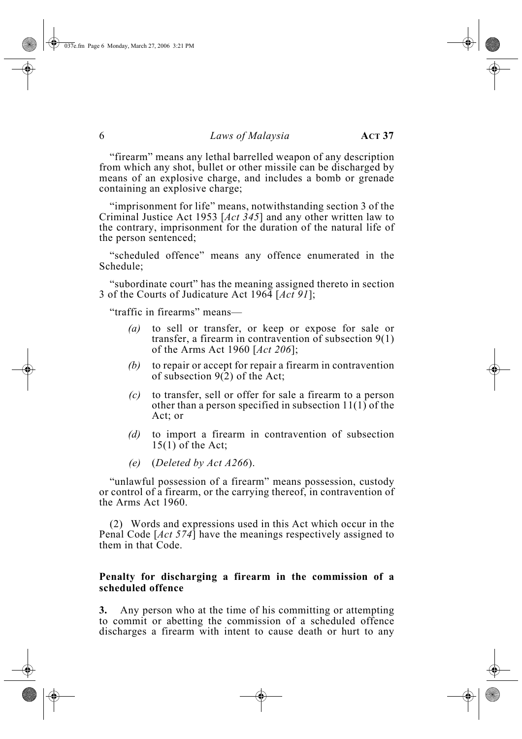"firearm" means any lethal barrelled weapon of any description from which any shot, bullet or other missile can be discharged by means of an explosive charge, and includes a bomb or grenade containing an explosive charge;

"imprisonment for life" means, notwithstanding section 3 of the Criminal Justice Act 1953 [*Act 345*] and any other written law to the contrary, imprisonment for the duration of the natural life of the person sentenced;

"scheduled offence" means any offence enumerated in the Schedule;

"subordinate court" has the meaning assigned thereto in section 3 of the Courts of Judicature Act 1964 [*Act 91*];

"traffic in firearms" means—

- *(a)* to sell or transfer, or keep or expose for sale or transfer, a firearm in contravention of subsection 9(1) of the Arms Act 1960 [*Act 206*];
- *(b)* to repair or accept for repair a firearm in contravention of subsection 9(2) of the Act;
- *(c)* to transfer, sell or offer for sale a firearm to a person other than a person specified in subsection 11(1) of the Act; or
- *(d)* to import a firearm in contravention of subsection  $15(1)$  of the Act;
- *(e)* (*Deleted by Act A266*).

"unlawful possession of a firearm" means possession, custody or control of a firearm, or the carrying thereof, in contravention of the Arms Act 1960.

(2) Words and expressions used in this Act which occur in the Penal Code [*Act 574*] have the meanings respectively assigned to them in that Code.

#### **Penalty for discharging a firearm in the commission of a scheduled offence**

**3.** Any person who at the time of his committing or attempting to commit or abetting the commission of a scheduled offence discharges a firearm with intent to cause death or hurt to any

037e.fm Page 6 Monday, March 27, 2006 3:21 PM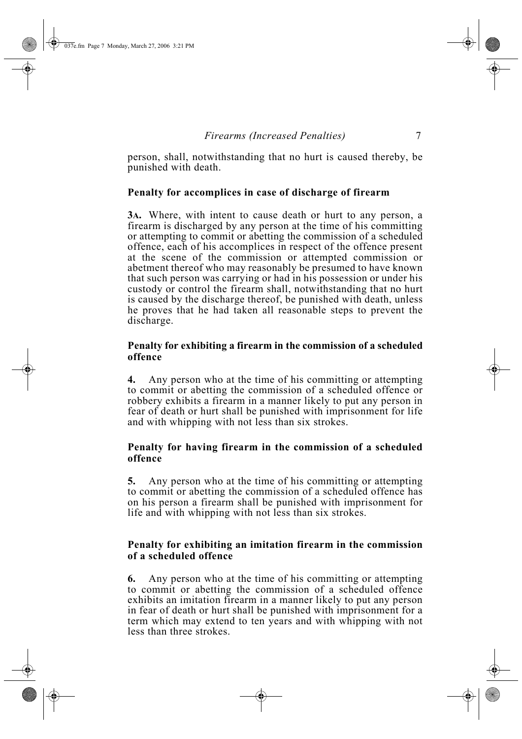person, shall, notwithstanding that no hurt is caused thereby, be punished with death.

#### **Penalty for accomplices in case of discharge of firearm**

**3A.** Where, with intent to cause death or hurt to any person, a firearm is discharged by any person at the time of his committing or attempting to commit or abetting the commission of a scheduled offence, each of his accomplices in respect of the offence present at the scene of the commission or attempted commission or abetment thereof who may reasonably be presumed to have known that such person was carrying or had in his possession or under his custody or control the firearm shall, notwithstanding that no hurt is caused by the discharge thereof, be punished with death, unless he proves that he had taken all reasonable steps to prevent the discharge.

#### **Penalty for exhibiting a firearm in the commission of a scheduled offence**

**4.** Any person who at the time of his committing or attempting to commit or abetting the commission of a scheduled offence or robbery exhibits a firearm in a manner likely to put any person in fear of death or hurt shall be punished with imprisonment for life and with whipping with not less than six strokes.

# **Penalty for having firearm in the commission of a scheduled offence**

**5.** Any person who at the time of his committing or attempting to commit or abetting the commission of a scheduled offence has on his person a firearm shall be punished with imprisonment for life and with whipping with not less than six strokes.

#### **Penalty for exhibiting an imitation firearm in the commission of a scheduled offence**

**6.** Any person who at the time of his committing or attempting to commit or abetting the commission of a scheduled offence exhibits an imitation firearm in a manner likely to put any person in fear of death or hurt shall be punished with imprisonment for a term which may extend to ten years and with whipping with not less than three strokes.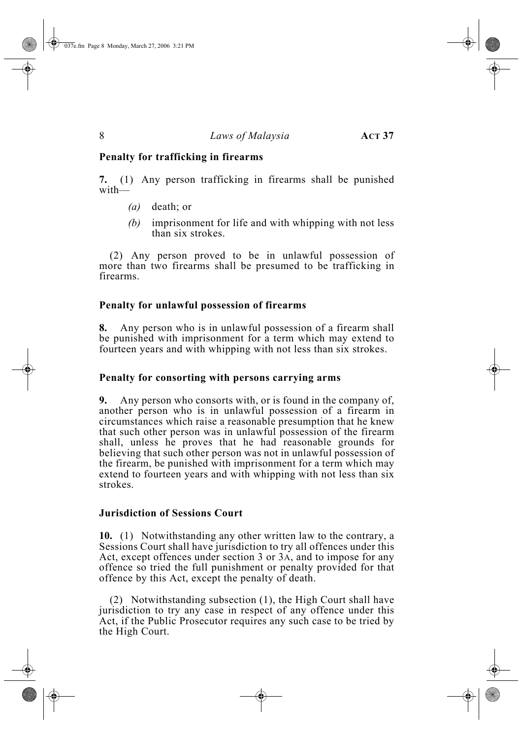### 8 *Laws of Malaysia* **ACT 37**

#### **Penalty for trafficking in firearms**

**7.** (1) Any person trafficking in firearms shall be punished with—

- *(a)* death; or
- *(b)* imprisonment for life and with whipping with not less than six strokes.

(2) Any person proved to be in unlawful possession of more than two firearms shall be presumed to be trafficking in firearms.

#### **Penalty for unlawful possession of firearms**

**8.** Any person who is in unlawful possession of a firearm shall be punished with imprisonment for a term which may extend to fourteen years and with whipping with not less than six strokes.

#### **Penalty for consorting with persons carrying arms**

**9.** Any person who consorts with, or is found in the company of, another person who is in unlawful possession of a firearm in circumstances which raise a reasonable presumption that he knew that such other person was in unlawful possession of the firearm shall, unless he proves that he had reasonable grounds for believing that such other person was not in unlawful possession of the firearm, be punished with imprisonment for a term which may extend to fourteen years and with whipping with not less than six strokes.

#### **Jurisdiction of Sessions Court**

**10.** (1) Notwithstanding any other written law to the contrary, a Sessions Court shall have jurisdiction to try all offences under this Act, except offences under section 3 or 3A, and to impose for any offence so tried the full punishment or penalty provided for that offence by this Act, except the penalty of death.

(2) Notwithstanding subsection (1), the High Court shall have jurisdiction to try any case in respect of any offence under this Act, if the Public Prosecutor requires any such case to be tried by the High Court.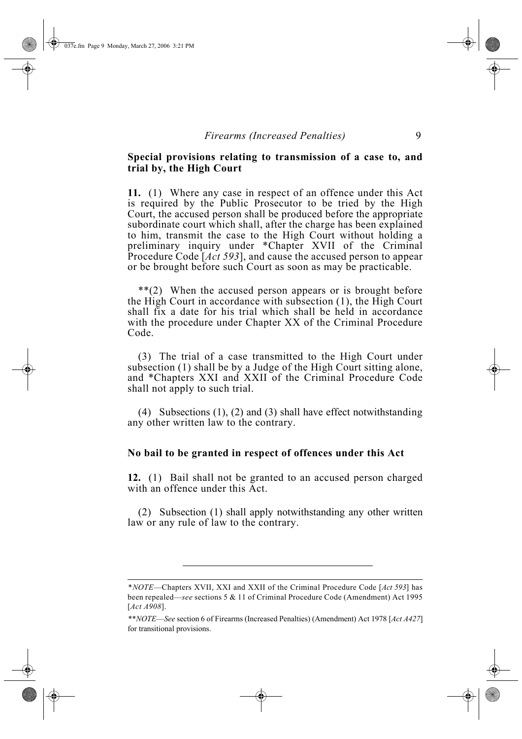#### **Special provisions relating to transmission of a case to, and trial by, the High Court**

**11.** (1) Where any case in respect of an offence under this Act is required by the Public Prosecutor to be tried by the High Court, the accused person shall be produced before the appropriate subordinate court which shall, after the charge has been explained to him, transmit the case to the High Court without holding a preliminary inquiry under \*Chapter XVII of the Criminal Procedure Code [*Act 593*], and cause the accused person to appear or be brought before such Court as soon as may be practicable.

\*\*(2) When the accused person appears or is brought before the High Court in accordance with subsection (1), the High Court shall fix a date for his trial which shall be held in accordance with the procedure under Chapter XX of the Criminal Procedure Code.

(3) The trial of a case transmitted to the High Court under subsection (1) shall be by a Judge of the High Court sitting alone, and \*Chapters XXI and XXII of the Criminal Procedure Code shall not apply to such trial.

(4) Subsections (1), (2) and (3) shall have effect notwithstanding any other written law to the contrary.

#### **No bail to be granted in respect of offences under this Act**

**12.** (1) Bail shall not be granted to an accused person charged with an offence under this Act.

(2) Subsection (1) shall apply notwithstanding any other written law or any rule of law to the contrary.

<sup>\*</sup>*NOTE*—Chapters XVII, XXI and XXII of the Criminal Procedure Code [*Act 593*] has been repealed—*see* sections 5 & 11 of Criminal Procedure Code (Amendment) Act 1995 [*Act A908*].

<sup>\*\*</sup>*NOTE*—*See* section 6 of Firearms (Increased Penalties) (Amendment) Act 1978 [*Act A427*] for transitional provisions.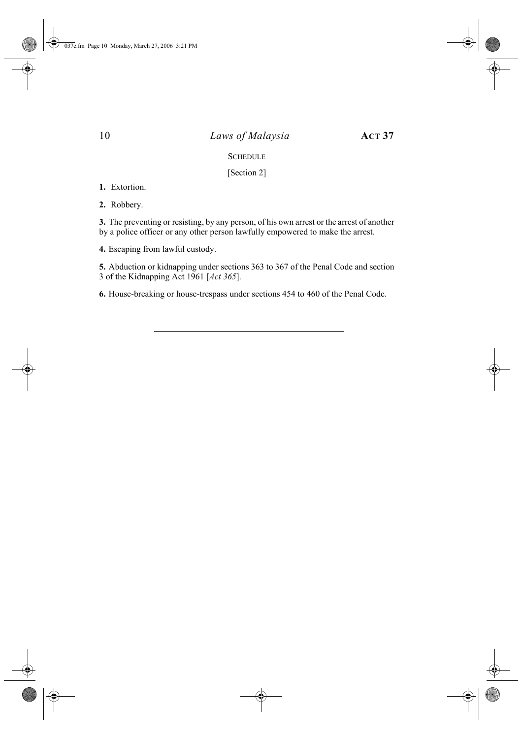### 10 *Laws of Malaysia* **ACT 37**

#### **SCHEDULE**

#### [Section 2]

**1.** Extortion.

**2.** Robbery.

**3.** The preventing or resisting, by any person, of his own arrest or the arrest of another by a police officer or any other person lawfully empowered to make the arrest.

**4.** Escaping from lawful custody.

**5.** Abduction or kidnapping under sections 363 to 367 of the Penal Code and section 3 of the Kidnapping Act 1961 [*Act 365*].

**6.** House-breaking or house-trespass under sections 454 to 460 of the Penal Code.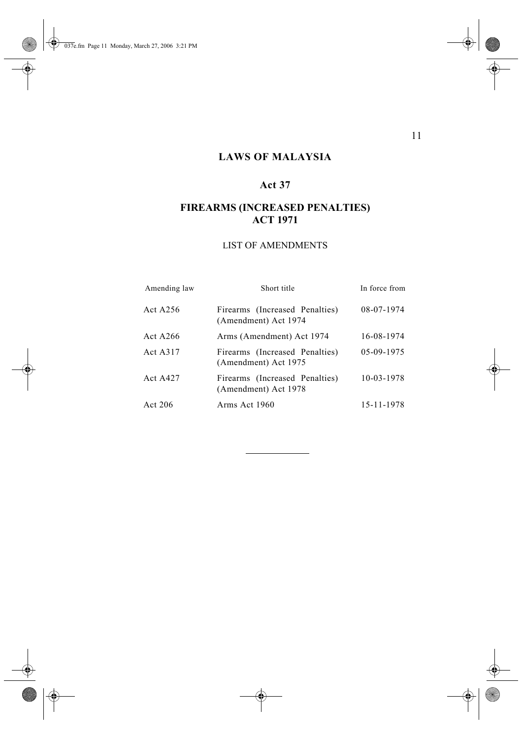# **LAWS OF MALAYSIA**

# **Act 37**

# **FIREARMS (INCREASED PENALTIES) ACT 1971**

# LIST OF AMENDMENTS

| Amending law    | Short title                                            | In force from |
|-----------------|--------------------------------------------------------|---------------|
| Act $A256$      | Firearms (Increased Penalties)<br>(Amendment) Act 1974 | 08-07-1974    |
| Act A266        | Arms (Amendment) Act 1974                              | 16-08-1974    |
| Act A317        | Firearms (Increased Penalties)<br>(Amendment) Act 1975 | $05-09-1975$  |
| <b>Act A427</b> | Firearms (Increased Penalties)<br>(Amendment) Act 1978 | 10-03-1978    |
| Act 206         | Arms Act 1960                                          | 15-11-1978    |